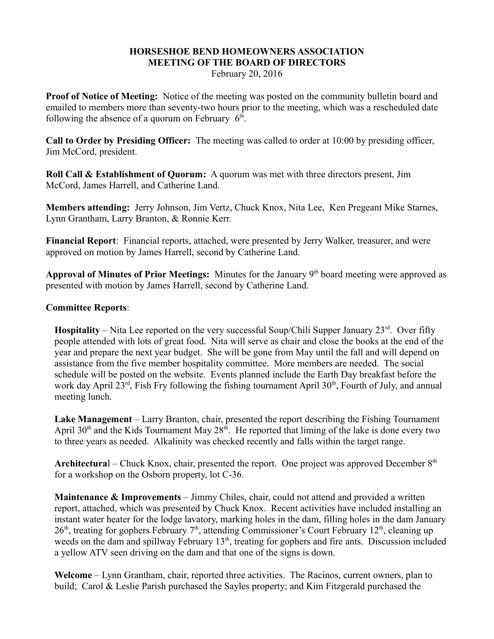## **HORSESHOE BEND HOMEOWNERS ASSOCIATION MEETING OF THE BOARD OF DIRECTORS**

February 20, 2016

**Proof of Notice of Meeting:** Notice of the meeting was posted on the community bulletin board and emailed to members more than seventy-two hours prior to the meeting, which was a rescheduled date following the absence of a quorum on February  $6<sup>th</sup>$ .

**Call to Order by Presiding Officer:** The meeting was called to order at 10:00 by presiding officer, Jim McCord, president.

**Roll Call & Establishment of Quorum:** A quorum was met with three directors present, Jim McCord, James Harrell, and Catherine Land.

**Members attending:** Jerry Johnson, Jim Vertz, Chuck Knox, Nita Lee, Ken Pregeant Mike Starnes, Lynn Grantham, Larry Branton, & Ronnie Kerr.

**Financial Report**: Financial reports, attached, were presented by Jerry Walker, treasurer, and were approved on motion by James Harrell, second by Catherine Land.

Approval of Minutes of Prior Meetings: Minutes for the January 9<sup>th</sup> board meeting were approved as presented with motion by James Harrell, second by Catherine Land.

## **Committee Reports**:

**Hospitality** – Nita Lee reported on the very successful Soup/Chili Supper January  $23<sup>rd</sup>$ . Over fifty people attended with lots of great food. Nita will serve as chair and close the books at the end of the year and prepare the next year budget. She will be gone from May until the fall and will depend on assistance from the five member hospitality committee. More members are needed. The social schedule will be posted on the website. Events planned include the Earth Day breakfast before the work day April  $23^{rd}$ , Fish Fry following the fishing tournament April  $30^{th}$ , Fourth of July, and annual meeting lunch.

**Lake Management** – Larry Branton, chair, presented the report describing the Fishing Tournament April 30<sup>th</sup> and the Kids Tournament May  $28<sup>th</sup>$ . He reported that liming of the lake is done every two to three years as needed. Alkalinity was checked recently and falls within the target range.

**Architectural** – Chuck Knox, chair, presented the report. One project was approved December  $8<sup>th</sup>$ for a workshop on the Osborn property, lot C-36.

**Maintenance & Improvements** – Jimmy Chiles, chair, could not attend and provided a written report, attached, which was presented by Chuck Knox. Recent activities have included installing an instant water heater for the lodge lavatory, marking holes in the dam, filling holes in the dam January 26<sup>th</sup>, treating for gophers February 7<sup>th</sup>, attending Commissioner's Court February 12<sup>th</sup>, cleaning up weeds on the dam and spillway February 13<sup>th</sup>, treating for gophers and fire ants. Discussion included a yellow ATV seen driving on the dam and that one of the signs is down.

**Welcome** – Lynn Grantham, chair, reported three activities. The Racinos, current owners, plan to build; Carol & Leslie Parish purchased the Sayles property; and Kim Fitzgerald purchased the